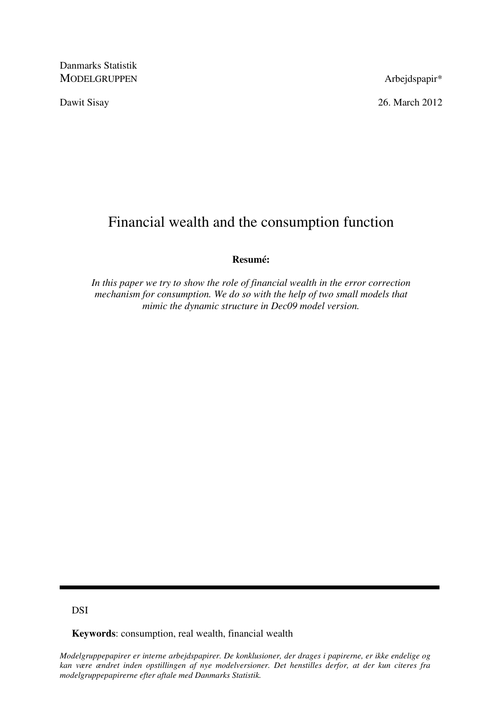Danmarks Statistik MODELGRUPPEN Arbejdspapir\*

Dawit Sisay 26. March 2012

# Financial wealth and the consumption function

# **Resumé:**

*In this paper we try to show the role of financial wealth in the error correction mechanism for consumption. We do so with the help of two small models that mimic the dynamic structure in Dec09 model version.* 

DSI

**Keywords**: consumption, real wealth, financial wealth

*Modelgruppepapirer er interne arbejdspapirer. De konklusioner, der drages i papirerne, er ikke endelige og kan være ændret inden opstillingen af nye modelversioner. Det henstilles derfor, at der kun citeres fra modelgruppepapirerne efter aftale med Danmarks Statistik.*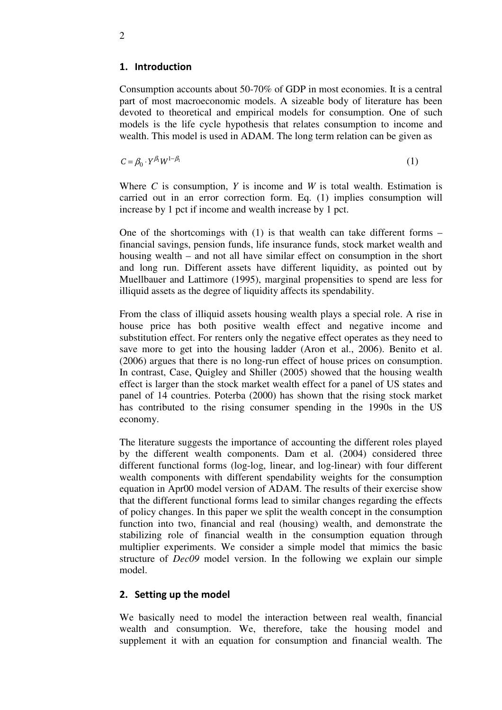### 1. Introduction

Consumption accounts about 50-70% of GDP in most economies. It is a central part of most macroeconomic models. A sizeable body of literature has been devoted to theoretical and empirical models for consumption. One of such models is the life cycle hypothesis that relates consumption to income and wealth. This model is used in ADAM. The long term relation can be given as

 $C = \beta_0 \cdot Y^{\beta_1} W^{1-\beta_1}$  (1)

Where *C* is consumption, *Y* is income and *W* is total wealth. Estimation is carried out in an error correction form. Eq. (1) implies consumption will increase by 1 pct if income and wealth increase by 1 pct.

One of the shortcomings with (1) is that wealth can take different forms – financial savings, pension funds, life insurance funds, stock market wealth and housing wealth – and not all have similar effect on consumption in the short and long run. Different assets have different liquidity, as pointed out by Muellbauer and Lattimore (1995), marginal propensities to spend are less for illiquid assets as the degree of liquidity affects its spendability.

From the class of illiquid assets housing wealth plays a special role. A rise in house price has both positive wealth effect and negative income and substitution effect. For renters only the negative effect operates as they need to save more to get into the housing ladder (Aron et al., 2006). Benito et al. (2006) argues that there is no long-run effect of house prices on consumption. In contrast, Case, Quigley and Shiller (2005) showed that the housing wealth effect is larger than the stock market wealth effect for a panel of US states and panel of 14 countries. Poterba (2000) has shown that the rising stock market has contributed to the rising consumer spending in the 1990s in the US economy.

The literature suggests the importance of accounting the different roles played by the different wealth components. Dam et al. (2004) considered three different functional forms (log-log, linear, and log-linear) with four different wealth components with different spendability weights for the consumption equation in Apr00 model version of ADAM. The results of their exercise show that the different functional forms lead to similar changes regarding the effects of policy changes. In this paper we split the wealth concept in the consumption function into two, financial and real (housing) wealth, and demonstrate the stabilizing role of financial wealth in the consumption equation through multiplier experiments. We consider a simple model that mimics the basic structure of *Dec09* model version. In the following we explain our simple model.

# 2. Setting up the model

We basically need to model the interaction between real wealth, financial wealth and consumption. We, therefore, take the housing model and supplement it with an equation for consumption and financial wealth. The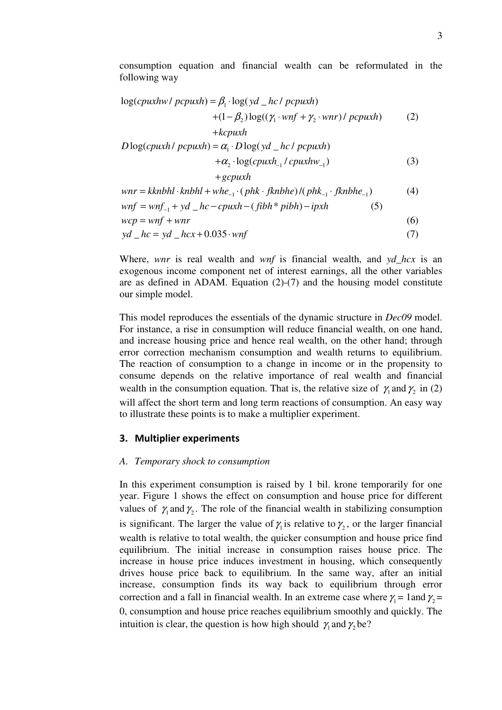consumption equation and financial wealth can be reformulated in the following way

$$
log(cpuxhw / pcpuxh) = \beta_1 \cdot log(yd \_hc / pcpuxh)
$$
  
+ $(1 - \beta_2)log((\gamma_1 \cdot wnf + \gamma_2 \cdot wnr) / pcpuxh)$  (2)  
+ $kcpuxh$   
 $D log(cpuxh / pcpuxh) = \alpha_1 \cdot D log(yd \_hc / pcpuxh)$   
+ $\alpha_2 \cdot log(cpuxh \_1 / cpuxhw \_1)$  (3)  
+ $gcpuxh$   
wnr =  $kknbhl \cdot knbhl + whe \_1 \cdot (phk \cdot fknbhe) / (phk \_1 \cdot fknbhe \_1)$  (4)

$$
wnf = wnf_{-1} + yd_{-}hc - cpuxh - (fibh * pibh) - ipxh
$$
  
\n
$$
wcp = wnf + wnr
$$
  
\n
$$
yd_{-}hc = yd_{-}hcx + 0.035 \cdot wrf
$$
\n(7)

Where, *wnr* is real wealth and *wnf* is financial wealth, and *yd\_hcx* is an exogenous income component net of interest earnings, all the other variables are as defined in ADAM. Equation (2)-(7) and the housing model constitute our simple model.

This model reproduces the essentials of the dynamic structure in *Dec09* model. For instance, a rise in consumption will reduce financial wealth, on one hand, and increase housing price and hence real wealth, on the other hand; through error correction mechanism consumption and wealth returns to equilibrium. The reaction of consumption to a change in income or in the propensity to consume depends on the relative importance of real wealth and financial wealth in the consumption equation. That is, the relative size of  $\gamma_1$  and  $\gamma_2$  in (2) will affect the short term and long term reactions of consumption. An easy way to illustrate these points is to make a multiplier experiment.

### 3. Multiplier experiments

#### *A. Temporary shock to consumption*

In this experiment consumption is raised by 1 bil. krone temporarily for one year. Figure 1 shows the effect on consumption and house price for different values of  $\gamma_1$  and  $\gamma_2$ . The role of the financial wealth in stabilizing consumption is significant. The larger the value of  $\gamma$  is relative to  $\gamma$ <sub>2</sub>, or the larger financial wealth is relative to total wealth, the quicker consumption and house price find equilibrium. The initial increase in consumption raises house price. The increase in house price induces investment in housing, which consequently drives house price back to equilibrium. In the same way, after an initial increase, consumption finds its way back to equilibrium through error correction and a fall in financial wealth. In an extreme case where  $\gamma_1 = 1$  and  $\gamma_2 = 1$ 0, consumption and house price reaches equilibrium smoothly and quickly. The intuition is clear, the question is how high should  $\gamma_1$  and  $\gamma_2$  be?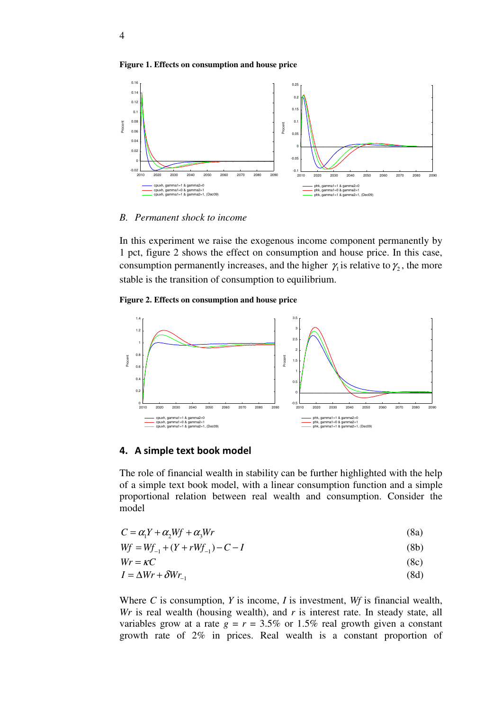**Figure 1. Effects on consumption and house price** 



*B. Permanent shock to income* 

In this experiment we raise the exogenous income component permanently by 1 pct, figure 2 shows the effect on consumption and house price. In this case, consumption permanently increases, and the higher  $\gamma_1$  is relative to  $\gamma_2$ , the more stable is the transition of consumption to equilibrium.

**Figure 2. Effects on consumption and house price** 



#### 4. A simple text book model

The role of financial wealth in stability can be further highlighted with the help of a simple text book model, with a linear consumption function and a simple proportional relation between real wealth and consumption. Consider the model

$$
C = \alpha_1 Y + \alpha_2 W f + \alpha_3 W r \tag{8a}
$$

$$
Wf = Wf_{-1} + (Y + rWf_{-1}) - C - I \tag{8b}
$$

$$
Wr = \kappa C \tag{8c}
$$

$$
I = \Delta Wr + \delta Wr_{-1} \tag{8d}
$$

Where *C* is consumption, *Y* is income, *I* is investment, *Wf* is financial wealth, *Wr* is real wealth (housing wealth), and *r* is interest rate. In steady state, all variables grow at a rate  $g = r = 3.5\%$  or 1.5% real growth given a constant growth rate of 2% in prices. Real wealth is a constant proportion of